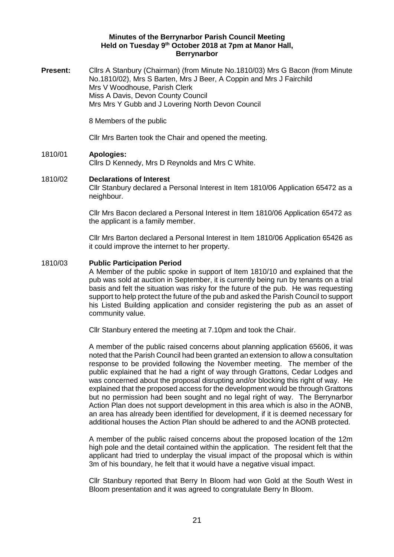### **Minutes of the Berrynarbor Parish Council Meeting Held on Tuesday 9 th October 2018 at 7pm at Manor Hall, Berrynarbor**

**Present:** Cllrs A Stanbury (Chairman) (from Minute No.1810/03) Mrs G Bacon (from Minute No.1810/02), Mrs S Barten, Mrs J Beer, A Coppin and Mrs J Fairchild Mrs V Woodhouse, Parish Clerk Miss A Davis, Devon County Council Mrs Mrs Y Gubb and J Lovering North Devon Council

8 Members of the public

Cllr Mrs Barten took the Chair and opened the meeting.

### 1810/01 **Apologies:**

Cllrs D Kennedy, Mrs D Reynolds and Mrs C White.

### 1810/02 **Declarations of Interest**

Cllr Stanbury declared a Personal Interest in Item 1810/06 Application 65472 as a neighbour.

Cllr Mrs Bacon declared a Personal Interest in Item 1810/06 Application 65472 as the applicant is a family member.

Cllr Mrs Barton declared a Personal Interest in Item 1810/06 Application 65426 as it could improve the internet to her property.

### 1810/03 **Public Participation Period**

A Member of the public spoke in support of Item 1810/10 and explained that the pub was sold at auction in September, it is currently being run by tenants on a trial basis and felt the situation was risky for the future of the pub. He was requesting support to help protect the future of the pub and asked the Parish Council to support his Listed Building application and consider registering the pub as an asset of community value.

Cllr Stanbury entered the meeting at 7.10pm and took the Chair.

A member of the public raised concerns about planning application 65606, it was noted that the Parish Council had been granted an extension to allow a consultation response to be provided following the November meeting. The member of the public explained that he had a right of way through Grattons, Cedar Lodges and was concerned about the proposal disrupting and/or blocking this right of way. He explained that the proposed access for the development would be through Grattons but no permission had been sought and no legal right of way. The Berrynarbor Action Plan does not support development in this area which is also in the AONB, an area has already been identified for development, if it is deemed necessary for additional houses the Action Plan should be adhered to and the AONB protected.

A member of the public raised concerns about the proposed location of the 12m high pole and the detail contained within the application. The resident felt that the applicant had tried to underplay the visual impact of the proposal which is within 3m of his boundary, he felt that it would have a negative visual impact.

Cllr Stanbury reported that Berry In Bloom had won Gold at the South West in Bloom presentation and it was agreed to congratulate Berry In Bloom.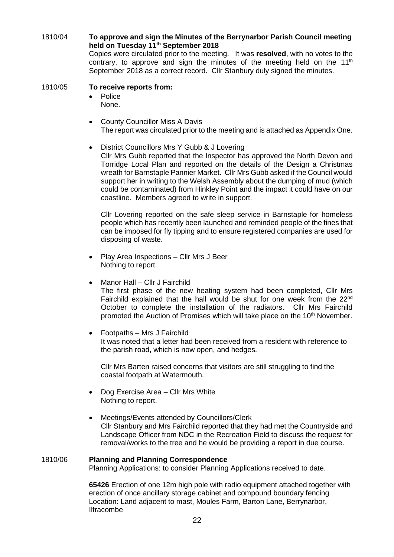1810/04 **To approve and sign the Minutes of the Berrynarbor Parish Council meeting held on Tuesday 11th September 2018** Copies were circulated prior to the meeting. It was **resolved**, with no votes to the

contrary, to approve and sign the minutes of the meeting held on the  $11<sup>th</sup>$ September 2018 as a correct record. Cllr Stanbury duly signed the minutes.

### 1810/05 **To receive reports from:**

- Police None.
- County Councillor Miss A Davis The report was circulated prior to the meeting and is attached as Appendix One.
	- District Councillors Mrs Y Gubb & J Lovering Cllr Mrs Gubb reported that the Inspector has approved the North Devon and Torridge Local Plan and reported on the details of the Design a Christmas wreath for Barnstaple Pannier Market. Cllr Mrs Gubb asked if the Council would support her in writing to the Welsh Assembly about the dumping of mud (which could be contaminated) from Hinkley Point and the impact it could have on our coastline. Members agreed to write in support.

Cllr Lovering reported on the safe sleep service in Barnstaple for homeless people which has recently been launched and reminded people of the fines that can be imposed for fly tipping and to ensure registered companies are used for disposing of waste.

- Play Area Inspections Cllr Mrs J Beer Nothing to report.
- Manor Hall Cllr J Fairchild The first phase of the new heating system had been completed, Cllr Mrs Fairchild explained that the hall would be shut for one week from the 22<sup>nd</sup> October to complete the installation of the radiators. Cllr Mrs Fairchild promoted the Auction of Promises which will take place on the 10<sup>th</sup> November.
- Footpaths Mrs J Fairchild It was noted that a letter had been received from a resident with reference to the parish road, which is now open, and hedges.

Cllr Mrs Barten raised concerns that visitors are still struggling to find the coastal footpath at Watermouth.

- Dog Exercise Area Cllr Mrs White Nothing to report.
- Meetings/Events attended by Councillors/Clerk Cllr Stanbury and Mrs Fairchild reported that they had met the Countryside and Landscape Officer from NDC in the Recreation Field to discuss the request for removal/works to the tree and he would be providing a report in due course.

#### 1810/06 **Planning and Planning Correspondence** Planning Applications: to consider Planning Applications received to date.

**65426** Erection of one 12m high pole with radio equipment attached together with erection of once ancillary storage cabinet and compound boundary fencing Location: Land adjacent to mast, Moules Farm, Barton Lane, Berrynarbor, Ilfracombe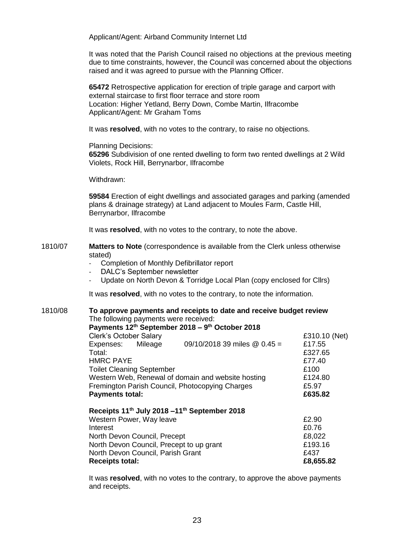Applicant/Agent: Airband Community Internet Ltd

It was noted that the Parish Council raised no objections at the previous meeting due to time constraints, however, the Council was concerned about the objections raised and it was agreed to pursue with the Planning Officer.

**65472** Retrospective application for erection of triple garage and carport with external staircase to first floor terrace and store room Location: Higher Yetland, Berry Down, Combe Martin, Ilfracombe Applicant/Agent: Mr Graham Toms

It was **resolved**, with no votes to the contrary, to raise no objections.

Planning Decisions:

**65296** Subdivision of one rented dwelling to form two rented dwellings at 2 Wild Violets, Rock Hill, Berrynarbor, Ilfracombe

Withdrawn:

**59584** Erection of eight dwellings and associated garages and parking (amended plans & drainage strategy) at Land adjacent to Moules Farm, Castle Hill, Berrynarbor, Ilfracombe

It was **resolved**, with no votes to the contrary, to note the above.

- 1810/07 **Matters to Note** (correspondence is available from the Clerk unless otherwise stated)
	- Completion of Monthly Defibrillator report
	- DALC's September newsletter
	- Update on North Devon & Torridge Local Plan (copy enclosed for Cllrs)

It was **resolved**, with no votes to the contrary, to note the information.

1810/08 **To approve payments and receipts to date and receive budget review** The following payments were received: **Payments 12th September 2018 – 9 th October 2018**  Clerk's October Salary £310.10 (Net) Expenses: Mileage 09/10/2018 39 miles @ 0.45 = £17.55 Total: £327.65 HMRC PAYE Toilet Cleaning September **E100** Western Web, Renewal of domain and website hosting E124.80 Fremington Parish Council, Photocopying Charges<br> **Payments total: E635.82 Payments total:** 

| Receipts 11 <sup>th</sup> July 2018 -11 <sup>th</sup> September 2018 |           |
|----------------------------------------------------------------------|-----------|
| Western Power, Way leave                                             | £2.90     |
| Interest                                                             | £0.76     |
| North Devon Council, Precept                                         | £8,022    |
| North Devon Council, Precept to up grant                             | £193.16   |
| North Devon Council, Parish Grant                                    | £437      |
| <b>Receipts total:</b>                                               | £8,655.82 |

It was **resolved**, with no votes to the contrary, to approve the above payments and receipts.